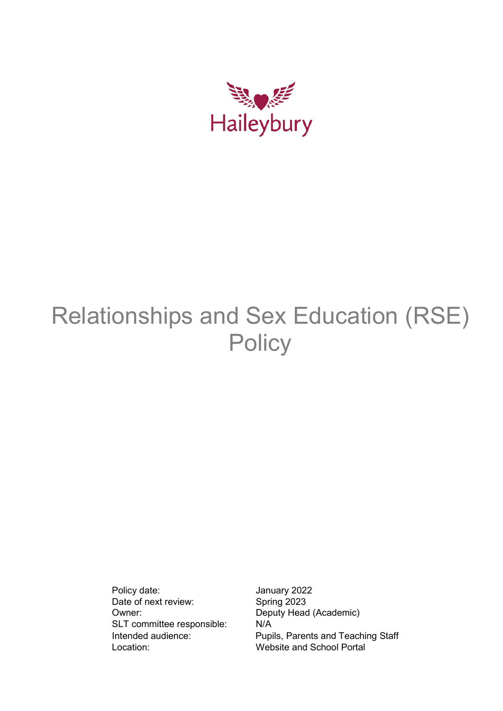

# Relationships and Sex Education (RSE) **Policy**

Policy date: January 2022 Date of next review: Spring 2023 Owner: Deputy Head (Academic) SLT committee responsible: N/A Location: Website and School Portal

Intended audience: Pupils, Parents and Teaching Staff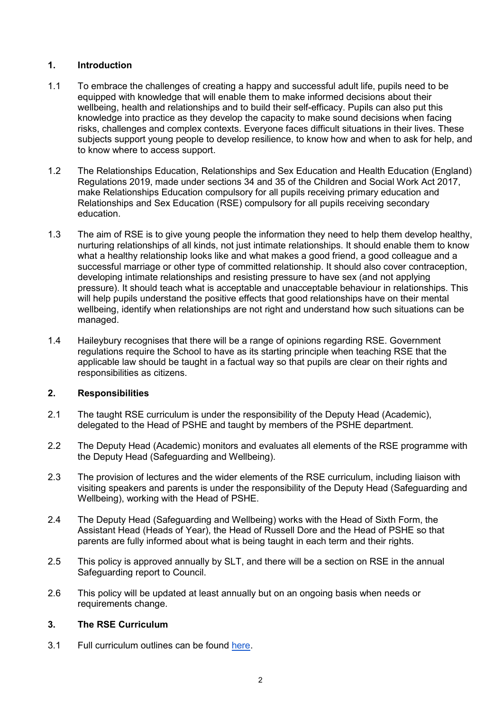## **1. Introduction**

- 1.1 To embrace the challenges of creating a happy and successful adult life, pupils need to be equipped with knowledge that will enable them to make informed decisions about their wellbeing, health and relationships and to build their self-efficacy. Pupils can also put this knowledge into practice as they develop the capacity to make sound decisions when facing risks, challenges and complex contexts. Everyone faces difficult situations in their lives. These subjects support young people to develop resilience, to know how and when to ask for help, and to know where to access support.
- 1.2 The Relationships Education, Relationships and Sex Education and Health Education (England) Regulations 2019, made under sections 34 and 35 of the Children and Social Work Act 2017, make Relationships Education compulsory for all pupils receiving primary education and Relationships and Sex Education (RSE) compulsory for all pupils receiving secondary education.
- 1.3 The aim of RSE is to give young people the information they need to help them develop healthy, nurturing relationships of all kinds, not just intimate relationships. It should enable them to know what a healthy relationship looks like and what makes a good friend, a good colleague and a successful marriage or other type of committed relationship. It should also cover contraception, developing intimate relationships and resisting pressure to have sex (and not applying pressure). It should teach what is acceptable and unacceptable behaviour in relationships. This will help pupils understand the positive effects that good relationships have on their mental wellbeing, identify when relationships are not right and understand how such situations can be managed.
- 1.4 Haileybury recognises that there will be a range of opinions regarding RSE. Government regulations require the School to have as its starting principle when teaching RSE that the applicable law should be taught in a factual way so that pupils are clear on their rights and responsibilities as citizens.

## **2. Responsibilities**

- 2.1 The taught RSE curriculum is under the responsibility of the Deputy Head (Academic), delegated to the Head of PSHE and taught by members of the PSHE department.
- 2.2 The Deputy Head (Academic) monitors and evaluates all elements of the RSE programme with the Deputy Head (Safeguarding and Wellbeing).
- 2.3 The provision of lectures and the wider elements of the RSE curriculum, including liaison with visiting speakers and parents is under the responsibility of the Deputy Head (Safeguarding and Wellbeing), working with the Head of PSHE.
- 2.4 The Deputy Head (Safeguarding and Wellbeing) works with the Head of Sixth Form, the Assistant Head (Heads of Year), the Head of Russell Dore and the Head of PSHE so that parents are fully informed about what is being taught in each term and their rights.
- 2.5 This policy is approved annually by SLT, and there will be a section on RSE in the annual Safeguarding report to Council.
- 2.6 This policy will be updated at least annually but on an ongoing basis when needs or requirements change.

#### **3. The RSE Curriculum**

3.1 Full curriculum outlines can be found [here.](https://docs.google.com/document/d/1wNCj4njxzD6SXz-XjIEqEeA0XqR6WZ0kVeM8HIVhTmE/edit)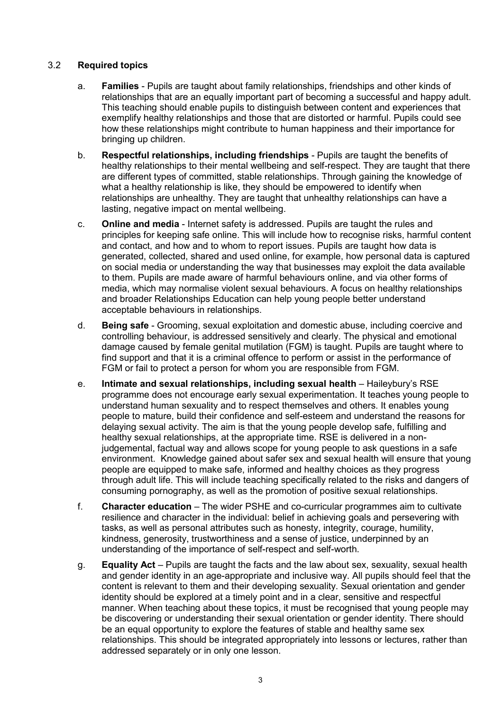## 3.2 **Required topics**

- a. **Families** Pupils are taught about family relationships, friendships and other kinds of relationships that are an equally important part of becoming a successful and happy adult. This teaching should enable pupils to distinguish between content and experiences that exemplify healthy relationships and those that are distorted or harmful. Pupils could see how these relationships might contribute to human happiness and their importance for bringing up children.
- b. **Respectful relationships, including friendships** Pupils are taught the benefits of healthy relationships to their mental wellbeing and self-respect. They are taught that there are different types of committed, stable relationships. Through gaining the knowledge of what a healthy relationship is like, they should be empowered to identify when relationships are unhealthy. They are taught that unhealthy relationships can have a lasting, negative impact on mental wellbeing.
- c. **Online and media** Internet safety is addressed. Pupils are taught the rules and principles for keeping safe online. This will include how to recognise risks, harmful content and contact, and how and to whom to report issues. Pupils are taught how data is generated, collected, shared and used online, for example, how personal data is captured on social media or understanding the way that businesses may exploit the data available to them. Pupils are made aware of harmful behaviours online, and via other forms of media, which may normalise violent sexual behaviours. A focus on healthy relationships and broader Relationships Education can help young people better understand acceptable behaviours in relationships.
- d. **Being safe** Grooming, sexual exploitation and domestic abuse, including coercive and controlling behaviour, is addressed sensitively and clearly. The physical and emotional damage caused by female genital mutilation (FGM) is taught. Pupils are taught where to find support and that it is a criminal offence to perform or assist in the performance of FGM or fail to protect a person for whom you are responsible from FGM.
- e. **Intimate and sexual relationships, including sexual health** Haileybury's RSE programme does not encourage early sexual experimentation. It teaches young people to understand human sexuality and to respect themselves and others. It enables young people to mature, build their confidence and self-esteem and understand the reasons for delaying sexual activity. The aim is that the young people develop safe, fulfilling and healthy sexual relationships, at the appropriate time. RSE is delivered in a nonjudgemental, factual way and allows scope for young people to ask questions in a safe environment. Knowledge gained about safer sex and sexual health will ensure that young people are equipped to make safe, informed and healthy choices as they progress through adult life. This will include teaching specifically related to the risks and dangers of consuming pornography, as well as the promotion of positive sexual relationships.
- f. **Character education** The wider PSHE and co-curricular programmes aim to cultivate resilience and character in the individual: belief in achieving goals and persevering with tasks, as well as personal attributes such as honesty, integrity, courage, humility, kindness, generosity, trustworthiness and a sense of justice, underpinned by an understanding of the importance of self-respect and self-worth.
- g. **Equality Act** Pupils are taught the facts and the law about sex, sexuality, sexual health and gender identity in an age-appropriate and inclusive way. All pupils should feel that the content is relevant to them and their developing sexuality. Sexual orientation and gender identity should be explored at a timely point and in a clear, sensitive and respectful manner. When teaching about these topics, it must be recognised that young people may be discovering or understanding their sexual orientation or gender identity. There should be an equal opportunity to explore the features of stable and healthy same sex relationships. This should be integrated appropriately into lessons or lectures, rather than addressed separately or in only one lesson.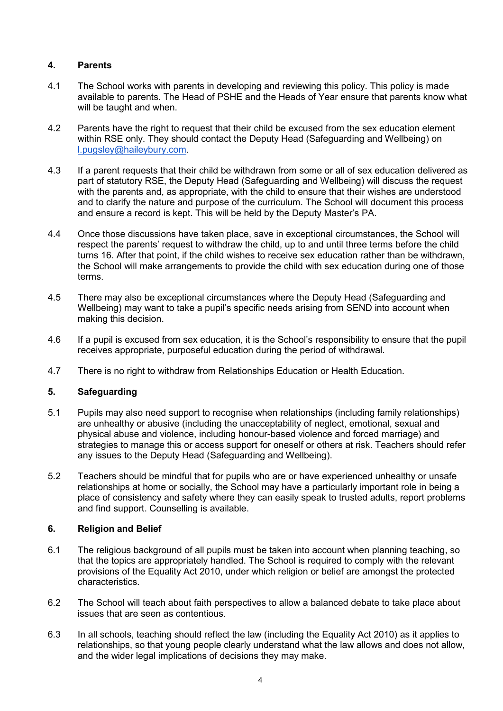## **4. Parents**

- 4.1 The School works with parents in developing and reviewing this policy. This policy is made available to parents. The Head of PSHE and the Heads of Year ensure that parents know what will be taught and when.
- 4.2 Parents have the right to request that their child be excused from the sex education element within RSE only. They should contact the Deputy Head (Safeguarding and Wellbeing) on [l.pugsley@haileybury.com.](mailto:l.pugsley@haileybury.com)
- 4.3 If a parent requests that their child be withdrawn from some or all of sex education delivered as part of statutory RSE, the Deputy Head (Safeguarding and Wellbeing) will discuss the request with the parents and, as appropriate, with the child to ensure that their wishes are understood and to clarify the nature and purpose of the curriculum. The School will document this process and ensure a record is kept. This will be held by the Deputy Master's PA.
- 4.4 Once those discussions have taken place, save in exceptional circumstances, the School will respect the parents' request to withdraw the child, up to and until three terms before the child turns 16. After that point, if the child wishes to receive sex education rather than be withdrawn, the School will make arrangements to provide the child with sex education during one of those terms.
- 4.5 There may also be exceptional circumstances where the Deputy Head (Safeguarding and Wellbeing) may want to take a pupil's specific needs arising from SEND into account when making this decision.
- 4.6 If a pupil is excused from sex education, it is the School's responsibility to ensure that the pupil receives appropriate, purposeful education during the period of withdrawal.
- 4.7 There is no right to withdraw from Relationships Education or Health Education.

#### **5. Safeguarding**

- 5.1 Pupils may also need support to recognise when relationships (including family relationships) are unhealthy or abusive (including the unacceptability of neglect, emotional, sexual and physical abuse and violence, including honour-based violence and forced marriage) and strategies to manage this or access support for oneself or others at risk. Teachers should refer any issues to the Deputy Head (Safeguarding and Wellbeing).
- 5.2 Teachers should be mindful that for pupils who are or have experienced unhealthy or unsafe relationships at home or socially, the School may have a particularly important role in being a place of consistency and safety where they can easily speak to trusted adults, report problems and find support. Counselling is available.

#### **6. Religion and Belief**

- 6.1 The religious background of all pupils must be taken into account when planning teaching, so that the topics are appropriately handled. The School is required to comply with the relevant provisions of the Equality Act 2010, under which religion or belief are amongst the protected characteristics.
- 6.2 The School will teach about faith perspectives to allow a balanced debate to take place about issues that are seen as contentious.
- 6.3 In all schools, teaching should reflect the law (including the Equality Act 2010) as it applies to relationships, so that young people clearly understand what the law allows and does not allow, and the wider legal implications of decisions they may make.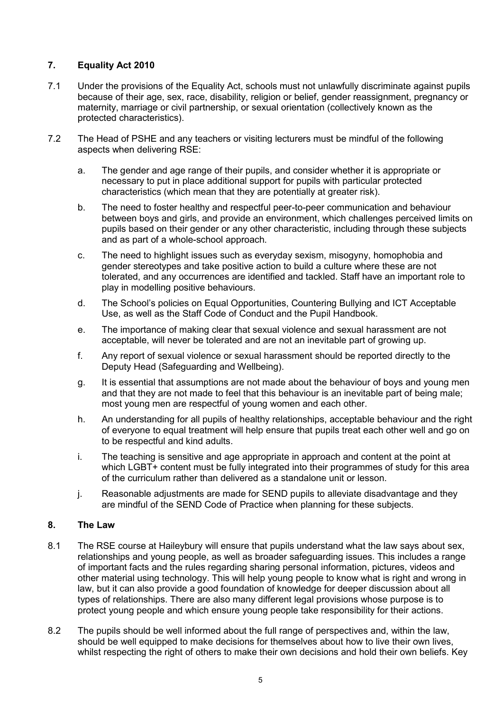## **7. Equality Act 2010**

- 7.1 Under the provisions of the Equality Act, schools must not unlawfully discriminate against pupils because of their age, sex, race, disability, religion or belief, gender reassignment, pregnancy or maternity, marriage or civil partnership, or sexual orientation (collectively known as the protected characteristics).
- 7.2 The Head of PSHE and any teachers or visiting lecturers must be mindful of the following aspects when delivering RSE:
	- a. The gender and age range of their pupils, and consider whether it is appropriate or necessary to put in place additional support for pupils with particular protected characteristics (which mean that they are potentially at greater risk).
	- b. The need to foster healthy and respectful peer-to-peer communication and behaviour between boys and girls, and provide an environment, which challenges perceived limits on pupils based on their gender or any other characteristic, including through these subjects and as part of a whole-school approach.
	- c. The need to highlight issues such as everyday sexism, misogyny, homophobia and gender stereotypes and take positive action to build a culture where these are not tolerated, and any occurrences are identified and tackled. Staff have an important role to play in modelling positive behaviours.
	- d. The School's policies on Equal Opportunities, Countering Bullying and ICT Acceptable Use, as well as the Staff Code of Conduct and the Pupil Handbook.
	- e. The importance of making clear that sexual violence and sexual harassment are not acceptable, will never be tolerated and are not an inevitable part of growing up.
	- f. Any report of sexual violence or sexual harassment should be reported directly to the Deputy Head (Safeguarding and Wellbeing).
	- g. It is essential that assumptions are not made about the behaviour of boys and young men and that they are not made to feel that this behaviour is an inevitable part of being male; most young men are respectful of young women and each other.
	- h. An understanding for all pupils of healthy relationships, acceptable behaviour and the right of everyone to equal treatment will help ensure that pupils treat each other well and go on to be respectful and kind adults.
	- i. The teaching is sensitive and age appropriate in approach and content at the point at which LGBT+ content must be fully integrated into their programmes of study for this area of the curriculum rather than delivered as a standalone unit or lesson.
	- j. Reasonable adjustments are made for SEND pupils to alleviate disadvantage and they are mindful of the SEND Code of Practice when planning for these subjects.

## **8. The Law**

- 8.1 The RSE course at Haileybury will ensure that pupils understand what the law says about sex, relationships and young people, as well as broader safeguarding issues. This includes a range of important facts and the rules regarding sharing personal information, pictures, videos and other material using technology. This will help young people to know what is right and wrong in law, but it can also provide a good foundation of knowledge for deeper discussion about all types of relationships. There are also many different legal provisions whose purpose is to protect young people and which ensure young people take responsibility for their actions.
- 8.2 The pupils should be well informed about the full range of perspectives and, within the law, should be well equipped to make decisions for themselves about how to live their own lives, whilst respecting the right of others to make their own decisions and hold their own beliefs. Key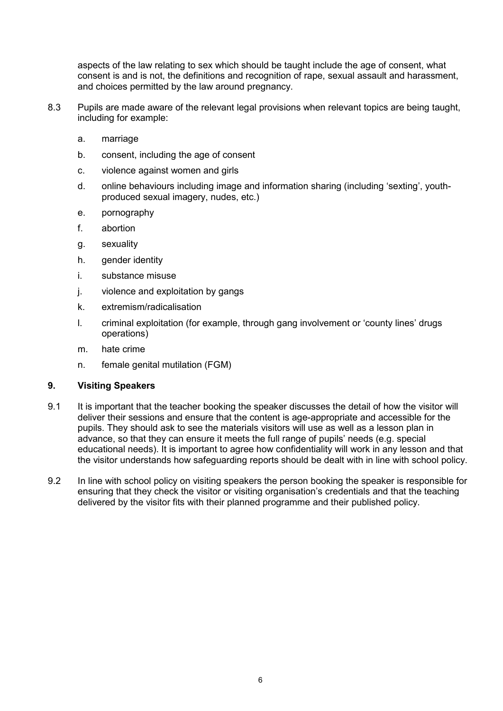aspects of the law relating to sex which should be taught include the age of consent, what consent is and is not, the definitions and recognition of rape, sexual assault and harassment, and choices permitted by the law around pregnancy.

- 8.3 Pupils are made aware of the relevant legal provisions when relevant topics are being taught, including for example:
	- a. marriage
	- b. consent, including the age of consent
	- c. violence against women and girls
	- d. online behaviours including image and information sharing (including 'sexting', youthproduced sexual imagery, nudes, etc.)
	- e. pornography
	- f. abortion
	- g. sexuality
	- h. gender identity
	- i. substance misuse
	- j. violence and exploitation by gangs
	- k. extremism/radicalisation
	- l. criminal exploitation (for example, through gang involvement or 'county lines' drugs operations)
	- m. hate crime
	- n. female genital mutilation (FGM)

#### **9. Visiting Speakers**

- 9.1 It is important that the teacher booking the speaker discusses the detail of how the visitor will deliver their sessions and ensure that the content is age-appropriate and accessible for the pupils. They should ask to see the materials visitors will use as well as a lesson plan in advance, so that they can ensure it meets the full range of pupils' needs (e.g. special educational needs). It is important to agree how confidentiality will work in any lesson and that the visitor understands how safeguarding reports should be dealt with in line with school policy.
- 9.2 In line with school policy on visiting speakers the person booking the speaker is responsible for ensuring that they check the visitor or visiting organisation's credentials and that the teaching delivered by the visitor fits with their planned programme and their published policy.